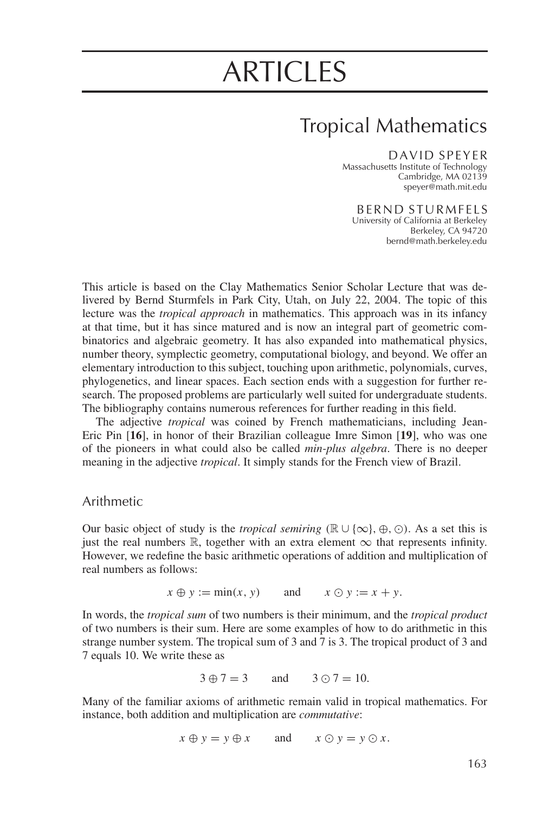# **ARTICLES**

# **Tropical Mathematics**

#### DAVID SPEYER

Massachusetts Institute of Technology Cambridge, MA 02139 speyer@math.mit.edu

**BERND STURMFELS** 

University of California at Berkeley Berkeley, CA 94720 bernd@math.berkeley.edu

This article is based on the Clay Mathematics Senior Scholar Lecture that was delivered by Bernd Sturmfels in Park City, Utah, on July 22, 2004. The topic of this lecture was the *tropical approach* in mathematics. This approach was in its infancy at that time, but it has since matured and is now an integral part of geometric combinatorics and algebraic geometry. It has also expanded into mathematical physics, number theory, symplectic geometry, computational biology, and beyond. We offer an elementary introduction to this subject, touching upon arithmetic, polynomials, curves, phylogenetics, and linear spaces. Each section ends with a suggestion for further research. The proposed problems are particularly well suited for undergraduate students. The bibliography contains numerous references for further reading in this field.

The adjective tropical was coined by French mathematicians, including Jean-Eric Pin [16], in honor of their Brazilian colleague Imre Simon [19], who was one of the pioneers in what could also be called *min-plus algebra*. There is no deeper meaning in the adjective *tropical*. It simply stands for the French view of Brazil.

# Arithmetic

Our basic object of study is the *tropical semiring* ( $\mathbb{R} \cup \{\infty\}$ ,  $\oplus$ ,  $\odot$ ). As a set this is just the real numbers  $\mathbb R$ , together with an extra element  $\infty$  that represents infinity. However, we redefine the basic arithmetic operations of addition and multiplication of real numbers as follows:

> $x \oplus y := min(x, y)$ and  $x \odot y := x + y.$

In words, the tropical sum of two numbers is their minimum, and the tropical product of two numbers is their sum. Here are some examples of how to do arithmetic in this strange number system. The tropical sum of 3 and 7 is 3. The tropical product of 3 and 7 equals 10. We write these as

$$
3 \oplus 7 = 3
$$
 and  $3 \odot 7 = 10$ .

Many of the familiar axioms of arithmetic remain valid in tropical mathematics. For instance, both addition and multiplication are *commutative*:

$$
x \oplus y = y \oplus x
$$
 and  $x \odot y = y \odot x$ .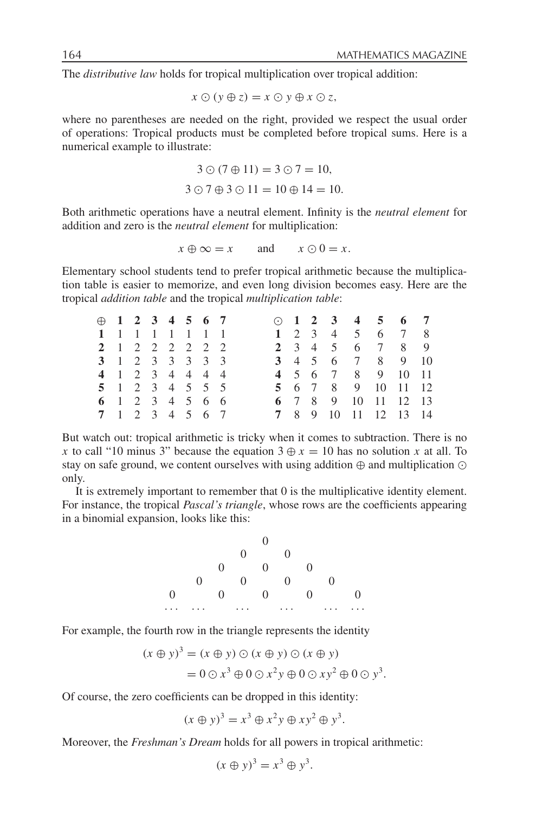The *distributive law* holds for tropical multiplication over tropical addition:

 $x \odot (y \oplus z) = x \odot y \oplus x \odot z,$ 

where no parentheses are needed on the right, provided we respect the usual order of operations: Tropical products must be completed before tropical sums. Here is a numerical example to illustrate:

$$
3 \odot (7 \oplus 11) = 3 \odot 7 = 10,
$$
  

$$
3 \odot 7 \oplus 3 \odot 11 = 10 \oplus 14 = 10.
$$

Both arithmetic operations have a neutral element. Infinity is the *neutral element* for addition and zero is the neutral element for multiplication:

> and  $x \oplus \infty = x$  $x \odot 0 = x$ .

Elementary school students tend to prefer tropical arithmetic because the multiplication table is easier to memorize, and even long division becomes easy. Here are the tropical *addition table* and the tropical *multiplication table*:

|  |  | $\oplus$ 1 2 3 4 5 6 7 |  |  |  |  | $\odot$ 1 2 3 4 5 6 7 |  |
|--|--|------------------------|--|--|--|--|-----------------------|--|
|  |  | 1 1 1 1 1 1 1 1        |  |  |  |  | 1 2 3 4 5 6 7 8       |  |
|  |  | 2 1 2 2 2 2 2 2        |  |  |  |  | 2 3 4 5 6 7 8 9       |  |
|  |  | 3 1 2 3 3 3 3 3        |  |  |  |  | 3 4 5 6 7 8 9 10      |  |
|  |  | 4 1 2 3 4 4 4 4        |  |  |  |  | 4 5 6 7 8 9 10 11     |  |
|  |  | 5 1 2 3 4 5 5 5        |  |  |  |  | 5 6 7 8 9 10 11 12    |  |
|  |  | 6 1 2 3 4 5 6 6        |  |  |  |  | 6 7 8 9 10 11 12 13   |  |
|  |  | 7 1 2 3 4 5 6 7        |  |  |  |  | 7 8 9 10 11 12 13 14  |  |

But watch out: tropical arithmetic is tricky when it comes to subtraction. There is no x to call "10 minus 3" because the equation  $3 \oplus x = 10$  has no solution x at all. To stay on safe ground, we content ourselves with using addition  $\oplus$  and multiplication  $\odot$ only.

It is extremely important to remember that 0 is the multiplicative identity element. For instance, the tropical *Pascal's triangle*, whose rows are the coefficients appearing in a binomial expansion, looks like this:

For example, the fourth row in the triangle represents the identity

$$
(x \oplus y)^3 = (x \oplus y) \odot (x \oplus y) \odot (x \oplus y)
$$
  
= 0 \odot x<sup>3</sup> \oplus 0 \odot x<sup>2</sup> y \oplus 0 \odot xy<sup>2</sup> \oplus 0 \odot y<sup>3</sup>.

Of course, the zero coefficients can be dropped in this identity:

 $(x \oplus y)^3 = x^3 \oplus x^2y \oplus xy^2 \oplus y^3$ .

Moreover, the Freshman's Dream holds for all powers in tropical arithmetic:

$$
(x \oplus y)^3 = x^3 \oplus y^3.
$$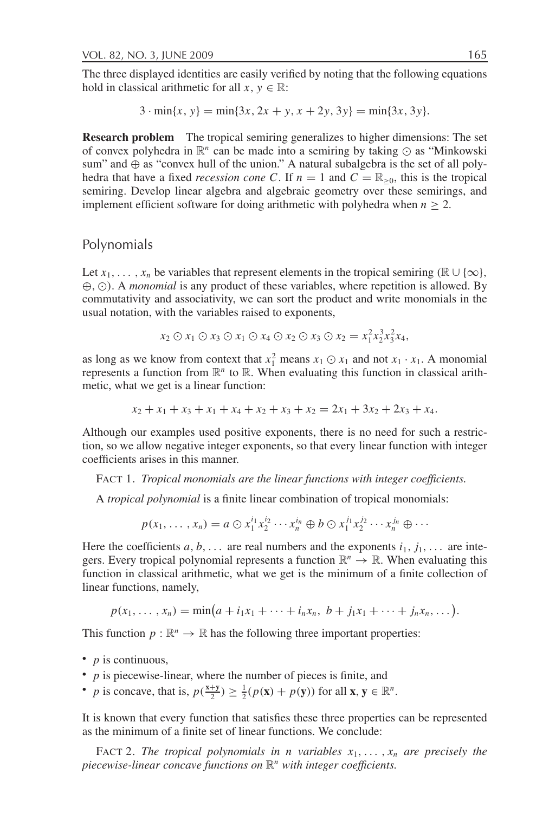The three displayed identities are easily verified by noting that the following equations hold in classical arithmetic for all  $x, y \in \mathbb{R}$ :

 $3 \cdot \min\{x, y\} = \min\{3x, 2x + y, x + 2y, 3y\} = \min\{3x, 3y\}.$ 

**Research problem** The tropical semiring generalizes to higher dimensions: The set of convex polyhedra in  $\mathbb{R}^n$  can be made into a semiring by taking  $\odot$  as "Minkowski" sum" and  $\oplus$  as "convex hull of the union." A natural subalgebra is the set of all polyhedra that have a fixed *recession cone C*. If  $n = 1$  and  $C = \mathbb{R}_{>0}$ , this is the tropical semiring. Develop linear algebra and algebraic geometry over these semirings, and implement efficient software for doing arithmetic with polyhedra when  $n \ge 2$ .

# Polynomials

Let  $x_1, \ldots, x_n$  be variables that represent elements in the tropical semiring ( $\mathbb{R} \cup \{\infty\}$ ,  $\oplus$ ,  $\odot$ ). A *monomial* is any product of these variables, where repetition is allowed. By commutativity and associativity, we can sort the product and write monomials in the usual notation, with the variables raised to exponents,

$$
x_2 \odot x_1 \odot x_3 \odot x_1 \odot x_4 \odot x_2 \odot x_3 \odot x_2 = x_1^2 x_2^3 x_3^2 x_4,
$$

as long as we know from context that  $x_1^2$  means  $x_1 \odot x_1$  and not  $x_1 \cdot x_1$ . A monomial represents a function from  $\mathbb{R}^n$  to  $\mathbb{R}$ . When evaluating this function in classical arithmetic, what we get is a linear function:

$$
x_2 + x_1 + x_3 + x_1 + x_4 + x_2 + x_3 + x_2 = 2x_1 + 3x_2 + 2x_3 + x_4.
$$

Although our examples used positive exponents, there is no need for such a restriction, so we allow negative integer exponents, so that every linear function with integer coefficients arises in this manner.

FACT 1. Tropical monomials are the linear functions with integer coefficients.

A *tropical polynomial* is a finite linear combination of tropical monomials:

$$
p(x_1,\ldots,x_n)=a\odot x_1^{i_1}x_2^{i_2}\cdots x_n^{i_n}\oplus b\odot x_1^{j_1}x_2^{j_2}\cdots x_n^{j_n}\oplus\cdots
$$

Here the coefficients a, b, ... are real numbers and the exponents  $i_1$ ,  $j_1$ , ... are integers. Every tropical polynomial represents a function  $\mathbb{R}^n \to \mathbb{R}$ . When evaluating this function in classical arithmetic, what we get is the minimum of a finite collection of linear functions, namely,

$$
p(x_1,...,x_n) = \min(a + i_1x_1 + \cdots + i_nx_n, b + j_1x_1 + \cdots + j_nx_n,...).
$$

This function  $p : \mathbb{R}^n \to \mathbb{R}$  has the following three important properties:

- $p$  is continuous,
- $\bullet$  p is piecewise-linear, where the number of pieces is finite, and
- p is concave, that is,  $p(\frac{x+y}{2}) \geq \frac{1}{2}(p(x) + p(y))$  for all  $x, y \in \mathbb{R}^n$ .

It is known that every function that satisfies these three properties can be represented as the minimum of a finite set of linear functions. We conclude:

FACT 2. The tropical polynomials in n variables  $x_1, \ldots, x_n$  are precisely the piecewise-linear concave functions on  $\mathbb{R}^n$  with integer coefficients.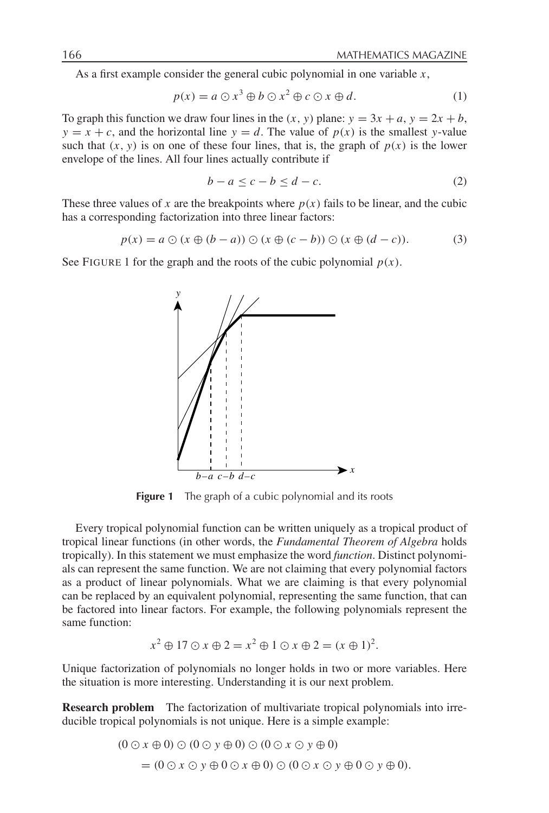As a first example consider the general cubic polynomial in one variable  $x$ ,

$$
p(x) = a \odot x^3 \oplus b \odot x^2 \oplus c \odot x \oplus d. \tag{1}
$$

To graph this function we draw four lines in the  $(x, y)$  plane:  $y = 3x + a$ ,  $y = 2x + b$ ,  $y = x + c$ , and the horizontal line  $y = d$ . The value of  $p(x)$  is the smallest y-value such that  $(x, y)$  is on one of these four lines, that is, the graph of  $p(x)$  is the lower envelope of the lines. All four lines actually contribute if

$$
b - a \le c - b \le d - c. \tag{2}
$$

These three values of x are the breakpoints where  $p(x)$  fails to be linear, and the cubic has a corresponding factorization into three linear factors:

$$
p(x) = a \odot (x \oplus (b - a)) \odot (x \oplus (c - b)) \odot (x \oplus (d - c)). \tag{3}
$$

See FIGURE 1 for the graph and the roots of the cubic polynomial  $p(x)$ .



Figure 1 The graph of a cubic polynomial and its roots

Every tropical polynomial function can be written uniquely as a tropical product of tropical linear functions (in other words, the *Fundamental Theorem of Algebra* holds tropically). In this statement we must emphasize the word *function*. Distinct polynomials can represent the same function. We are not claiming that every polynomial factors as a product of linear polynomials. What we are claiming is that every polynomial can be replaced by an equivalent polynomial, representing the same function, that can be factored into linear factors. For example, the following polynomials represent the same function:

$$
x2 \oplus 17 \oplus x \oplus 2 = x2 \oplus 1 \oplus x \oplus 2 = (x \oplus 1)2.
$$

Unique factorization of polynomials no longer holds in two or more variables. Here the situation is more interesting. Understanding it is our next problem.

**Research problem** The factorization of multivariate tropical polynomials into irreducible tropical polynomials is not unique. Here is a simple example:

$$
(0 \odot x \oplus 0) \odot (0 \odot y \oplus 0) \odot (0 \odot x \odot y \oplus 0)
$$
  
= 
$$
(0 \odot x \odot y \oplus 0 \odot x \oplus 0) \odot (0 \odot x \odot y \oplus 0 \odot y \oplus 0).
$$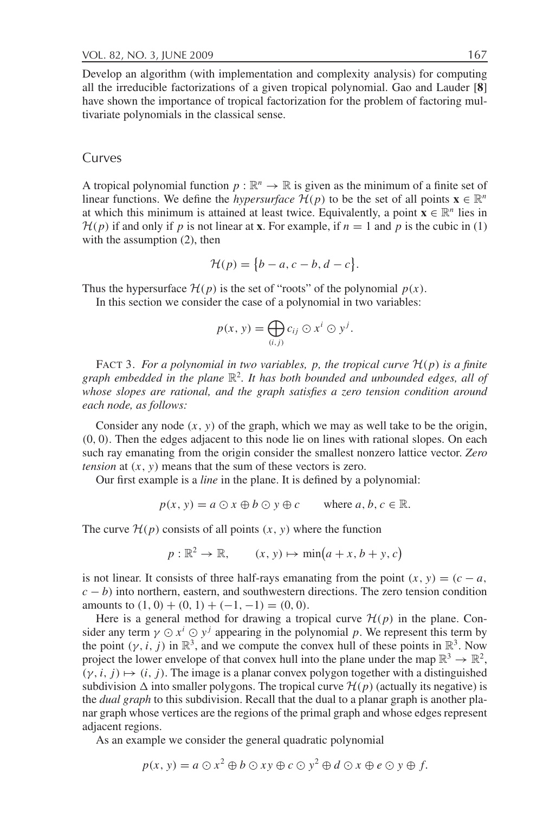Develop an algorithm (with implementation and complexity analysis) for computing all the irreducible factorizations of a given tropical polynomial. Gao and Lauder [8] have shown the importance of tropical factorization for the problem of factoring multivariate polynomials in the classical sense.

### Curves

A tropical polynomial function  $p : \mathbb{R}^n \to \mathbb{R}$  is given as the minimum of a finite set of linear functions. We define the *hypersurface*  $\mathcal{H}(p)$  to be the set of all points  $\mathbf{x} \in \mathbb{R}^n$ at which this minimum is attained at least twice. Equivalently, a point  $\mathbf{x} \in \mathbb{R}^n$  lies in  $\mathcal{H}(p)$  if and only if p is not linear at **x**. For example, if  $n = 1$  and p is the cubic in (1) with the assumption  $(2)$ , then

$$
\mathcal{H}(p) = \{b-a, c-b, d-c\}.
$$

Thus the hypersurface  $\mathcal{H}(p)$  is the set of "roots" of the polynomial  $p(x)$ .

In this section we consider the case of a polynomial in two variables:

$$
p(x, y) = \bigoplus_{(i,j)} c_{ij} \odot x^i \odot y^j.
$$

FACT 3. For a polynomial in two variables, p, the tropical curve  $\mathcal{H}(p)$  is a finite graph embedded in the plane  $\mathbb{R}^2$ . It has both bounded and unbounded edges, all of whose slopes are rational, and the graph satisfies a zero tension condition around each node, as follows:

Consider any node  $(x, y)$  of the graph, which we may as well take to be the origin,  $(0, 0)$ . Then the edges adjacent to this node lie on lines with rational slopes. On each such ray emanating from the origin consider the smallest nonzero lattice vector. Zero *tension* at  $(x, y)$  means that the sum of these vectors is zero.

Our first example is a *line* in the plane. It is defined by a polynomial:

$$
p(x, y) = a \odot x \oplus b \odot y \oplus c \quad \text{where } a, b, c \in \mathbb{R}.
$$

The curve  $\mathcal{H}(p)$  consists of all points  $(x, y)$  where the function

$$
p: \mathbb{R}^2 \to \mathbb{R}, \qquad (x, y) \mapsto \min(a + x, b + y, c)
$$

is not linear. It consists of three half-rays emanating from the point  $(x, y) = (c - a,$  $c - b$ ) into northern, eastern, and southwestern directions. The zero tension condition amounts to  $(1, 0) + (0, 1) + (-1, -1) = (0, 0)$ .

Here is a general method for drawing a tropical curve  $\mathcal{H}(p)$  in the plane. Consider any term  $\gamma \odot x^i \odot y^j$  appearing in the polynomial p. We represent this term by the point  $(\gamma, i, j)$  in  $\mathbb{R}^3$ , and we compute the convex hull of these points in  $\mathbb{R}^3$ . Now project the lower envelope of that convex hull into the plane under the map  $\mathbb{R}^3 \to \mathbb{R}^2$ ,  $(\gamma, i, j) \mapsto (i, j)$ . The image is a planar convex polygon together with a distinguished subdivision  $\Delta$  into smaller polygons. The tropical curve  $\mathcal{H}(p)$  (actually its negative) is the *dual graph* to this subdivision. Recall that the dual to a planar graph is another planar graph whose vertices are the regions of the primal graph and whose edges represent adjacent regions.

As an example we consider the general quadratic polynomial

$$
p(x, y) = a \odot x^2 \oplus b \odot xy \oplus c \odot y^2 \oplus d \odot x \oplus e \odot y \oplus f.
$$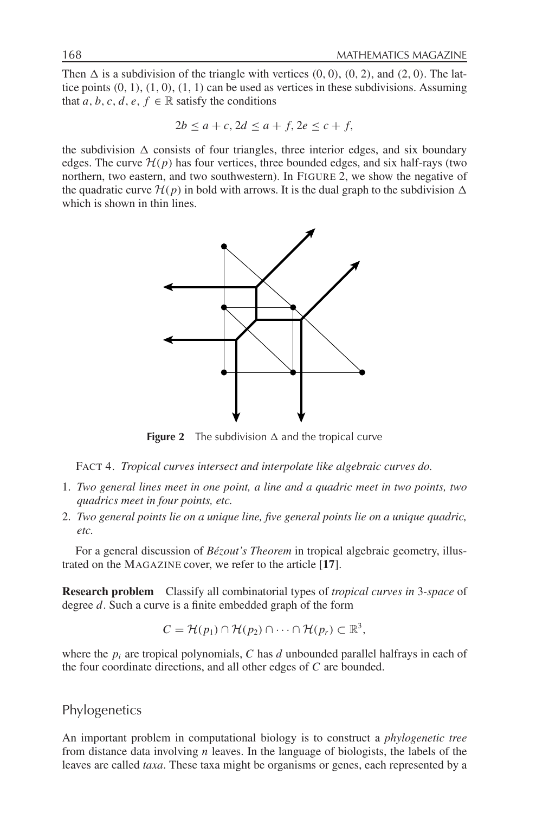Then  $\Delta$  is a subdivision of the triangle with vertices  $(0, 0)$ ,  $(0, 2)$ , and  $(2, 0)$ . The lattice points  $(0, 1), (1, 0), (1, 1)$  can be used as vertices in these subdivisions. Assuming that a, b, c, d, e,  $f \in \mathbb{R}$  satisfy the conditions

$$
2b \le a+c, 2d \le a+f, 2e \le c+f,
$$

the subdivision  $\Delta$  consists of four triangles, three interior edges, and six boundary edges. The curve  $\mathcal{H}(p)$  has four vertices, three bounded edges, and six half-rays (two northern, two eastern, and two southwestern). In FIGURE 2, we show the negative of the quadratic curve  $\mathcal{H}(p)$  in bold with arrows. It is the dual graph to the subdivision  $\Delta$ which is shown in thin lines.



**Figure 2** The subdivision  $\Delta$  and the tropical curve

FACT 4. Tropical curves intersect and interpolate like algebraic curves do.

- 1. Two general lines meet in one point, a line and a quadric meet in two points, two quadrics meet in four points, etc.
- 2. Two general points lie on a unique line, five general points lie on a unique quadric, etc.

For a general discussion of Bézout's Theorem in tropical algebraic geometry, illustrated on the MAGAZINE cover, we refer to the article [17].

**Research problem** Classify all combinatorial types of *tropical curves in 3-space* of degree  $d$ . Such a curve is a finite embedded graph of the form

$$
C = \mathcal{H}(p_1) \cap \mathcal{H}(p_2) \cap \cdots \cap \mathcal{H}(p_r) \subset \mathbb{R}^3
$$

where the  $p_i$  are tropical polynomials, C has d unbounded parallel halfrays in each of the four coordinate directions, and all other edges of  $C$  are bounded.

Phylogenetics

An important problem in computational biology is to construct a phylogenetic tree from distance data involving  $n$  leaves. In the language of biologists, the labels of the leaves are called taxa. These taxa might be organisms or genes, each represented by a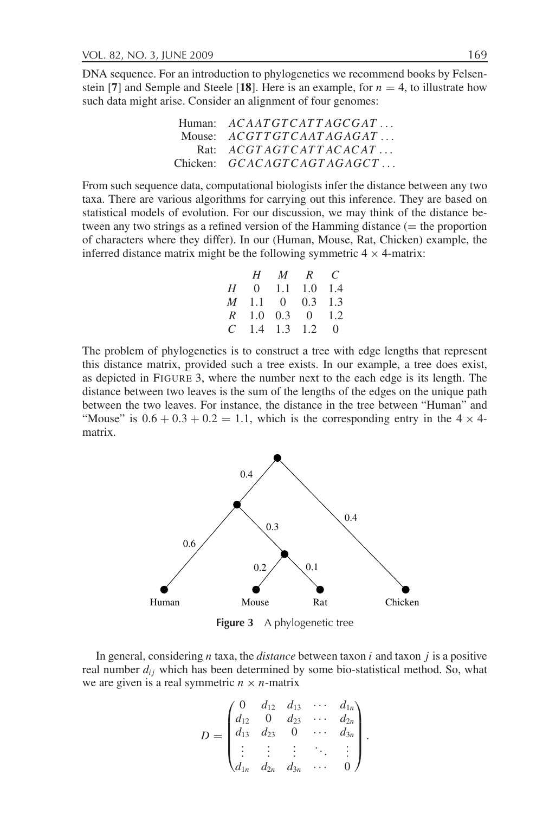DNA sequence. For an introduction to phylogenetics we recommend books by Felsenstein [7] and Semple and Steele [18]. Here is an example, for  $n = 4$ , to illustrate how such data might arise. Consider an alignment of four genomes:

| Human: $ACAATGTCATAGCGAT$    |
|------------------------------|
| Mouse: $ACGTTGTCAATAGAGAT$   |
| Rat: $ACGTAGTCATTACACAT$     |
| Chicken: $GCACAGTCAGTAGAGCT$ |

From such sequence data, computational biologists infer the distance between any two taxa. There are various algorithms for carrying out this inference. They are based on statistical models of evolution. For our discussion, we may think of the distance between any two strings as a refined version of the Hamming distance  $($  = the proportion of characters where they differ). In our (Human, Mouse, Rat, Chicken) example, the inferred distance matrix might be the following symmetric  $4 \times 4$ -matrix:

|  | H M R C           |  |
|--|-------------------|--|
|  | H 0 1.1 1.0 1.4   |  |
|  | M 1.1 0 0.3 1.3   |  |
|  | $R$ 1.0 0.3 0 1.2 |  |
|  | $C$ 1.4 1.3 1.2 0 |  |

The problem of phylogenetics is to construct a tree with edge lengths that represent this distance matrix, provided such a tree exists. In our example, a tree does exist, as depicted in FIGURE 3, where the number next to the each edge is its length. The distance between two leaves is the sum of the lengths of the edges on the unique path between the two leaves. For instance, the distance in the tree between "Human" and "Mouse" is  $0.6 + 0.3 + 0.2 = 1.1$ , which is the corresponding entry in the  $4 \times 4$ matrix.



Figure 3 A phylogenetic tree

In general, considering  $n$  taxa, the *distance* between taxon  $i$  and taxon  $j$  is a positive real number  $d_{ij}$  which has been determined by some bio-statistical method. So, what we are given is a real symmetric  $n \times n$ -matrix

$$
D = \begin{pmatrix} 0 & d_{12} & d_{13} & \cdots & d_{1n} \\ d_{12} & 0 & d_{23} & \cdots & d_{2n} \\ d_{13} & d_{23} & 0 & \cdots & d_{3n} \\ \vdots & \vdots & \vdots & \ddots & \vdots \\ d_{1n} & d_{2n} & d_{3n} & \cdots & 0 \end{pmatrix}.
$$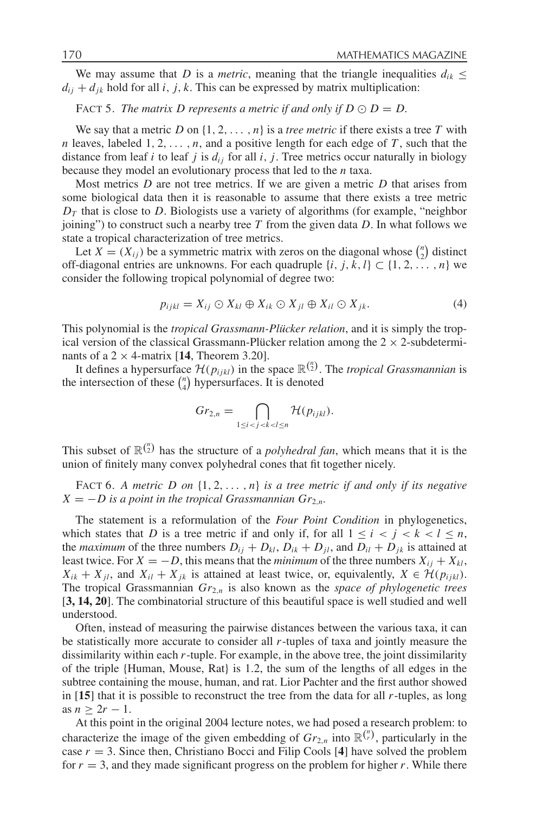We may assume that D is a *metric*, meaning that the triangle inequalities  $d_{ik} \leq$  $d_{ii} + d_{ik}$  hold for all i, j, k. This can be expressed by matrix multiplication:

FACT 5. The matrix D represents a metric if and only if  $D \odot D = D$ .

We say that a metric D on  $\{1, 2, ..., n\}$  is a *tree metric* if there exists a tree T with *n* leaves, labeled  $1, 2, ..., n$ , and a positive length for each edge of T, such that the distance from leaf i to leaf j is  $d_{ij}$  for all i, j. Tree metrics occur naturally in biology because they model an evolutionary process that led to the  $n$  taxa.

Most metrics  $D$  are not tree metrics. If we are given a metric  $D$  that arises from some biological data then it is reasonable to assume that there exists a tree metric  $D<sub>T</sub>$  that is close to D. Biologists use a variety of algorithms (for example, "neighbor" joining") to construct such a nearby tree T from the given data D. In what follows we state a tropical characterization of tree metrics.

Let  $X = (X_{ij})$  be a symmetric matrix with zeros on the diagonal whose  $\binom{n}{2}$  distinct off-diagonal entries are unknowns. For each quadruple  $\{i, j, k, l\} \subset \{1, 2, \ldots, n\}$  we consider the following tropical polynomial of degree two:

$$
p_{ijkl} = X_{ij} \odot X_{kl} \oplus X_{ik} \odot X_{jl} \oplus X_{il} \odot X_{jk}.
$$
 (4)

This polynomial is the *tropical Grassmann-Plücker relation*, and it is simply the tropical version of the classical Grassmann-Plücker relation among the  $2 \times 2$ -subdeterminants of a 2  $\times$  4-matrix [14, Theorem 3.20].

It defines a hypersurface  $\mathcal{H}(p_{ijkl})$  in the space  $\mathbb{R}^{n \choose 2}$ . The tropical Grassmannian is the intersection of these  $\binom{n}{4}$  hypersurfaces. It is denoted

$$
Gr_{2,n} = \bigcap_{1 \leq i < j < k < l \leq n} \mathcal{H}(p_{ijkl}).
$$

This subset of  $\mathbb{R}^{n \choose 2}$  has the structure of a *polyhedral fan*, which means that it is the union of finitely many convex polyhedral cones that fit together nicely.

FACT 6. A metric D on  $\{1, 2, ..., n\}$  is a tree metric if and only if its negative  $X = -D$  is a point in the tropical Grassmannian  $Gr_{2,n}$ .

The statement is a reformulation of the Four Point Condition in phylogenetics, which states that D is a tree metric if and only if, for all  $1 \le i < j < k < l \le n$ , the *maximum* of the three numbers  $D_{ij} + D_{kl}$ ,  $D_{ik} + D_{jl}$ , and  $D_{il} + D_{jk}$  is attained at least twice. For  $X = -D$ , this means that the *minimum* of the three numbers  $X_{ii} + X_{kl}$ ,  $X_{ik} + X_{jl}$ , and  $X_{il} + X_{jk}$  is attained at least twice, or, equivalently,  $X \in \mathcal{H}(p_{ijkl})$ . The tropical Grassmannian  $Gr_{2,n}$  is also known as the space of phylogenetic trees [3, 14, 20]. The combinatorial structure of this beautiful space is well studied and well understood.

Often, instead of measuring the pairwise distances between the various taxa, it can be statistically more accurate to consider all r-tuples of taxa and jointly measure the dissimilarity within each  $r$ -tuple. For example, in the above tree, the joint dissimilarity of the triple {Human, Mouse, Rat} is 1.2, the sum of the lengths of all edges in the subtree containing the mouse, human, and rat. Lior Pachter and the first author showed in  $[15]$  that it is possible to reconstruct the tree from the data for all  $r$ -tuples, as long as  $n > 2r - 1$ .

At this point in the original 2004 lecture notes, we had posed a research problem: to characterize the image of the given embedding of  $Gr_{2,n}$  into  $\mathbb{R}^{\binom{n}{r}}$ , particularly in the case  $r = 3$ . Since then, Christiano Bocci and Filip Cools [4] have solved the problem for  $r = 3$ , and they made significant progress on the problem for higher r. While there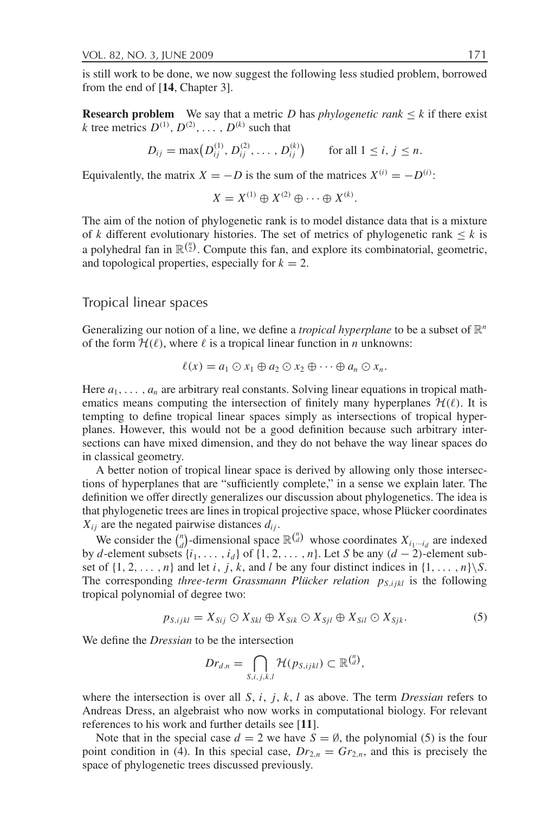is still work to be done, we now suggest the following less studied problem, borrowed from the end of [14, Chapter 3].

**Research problem** We say that a metric D has *phylogenetic rank*  $\leq k$  if there exist k tree metrics  $D^{(1)}$ ,  $D^{(2)}$ , ...,  $D^{(k)}$  such that

$$
D_{ij} = \max (D_{ij}^{(1)}, D_{ij}^{(2)}, \dots, D_{ij}^{(k)}) \quad \text{for all } 1 \le i, j \le n.
$$

Equivalently, the matrix  $X = -D$  is the sum of the matrices  $X^{(i)} = -D^{(i)}$ :

$$
X = X^{(1)} \oplus X^{(2)} \oplus \cdots \oplus X^{(k)}.
$$

The aim of the notion of phylogenetic rank is to model distance data that is a mixture of k different evolutionary histories. The set of metrics of phylogenetic rank  $\leq k$  is a polyhedral fan in  $\mathbb{R}^{\binom{n}{2}}$ . Compute this fan, and explore its combinatorial, geometric, and topological properties, especially for  $k = 2$ .

# Tropical linear spaces

Generalizing our notion of a line, we define a *tropical hyperplane* to be a subset of  $\mathbb{R}^n$ of the form  $\mathcal{H}(\ell)$ , where  $\ell$  is a tropical linear function in *n* unknowns:

$$
\ell(x) = a_1 \odot x_1 \oplus a_2 \odot x_2 \oplus \cdots \oplus a_n \odot x_n.
$$

Here  $a_1, \ldots, a_n$  are arbitrary real constants. Solving linear equations in tropical mathematics means computing the intersection of finitely many hyperplanes  $\mathcal{H}(\ell)$ . It is tempting to define tropical linear spaces simply as intersections of tropical hyperplanes. However, this would not be a good definition because such arbitrary intersections can have mixed dimension, and they do not behave the way linear spaces do in classical geometry.

A better notion of tropical linear space is derived by allowing only those intersections of hyperplanes that are "sufficiently complete," in a sense we explain later. The definition we offer directly generalizes our discussion about phylogenetics. The idea is that phylogenetic trees are lines in tropical projective space, whose Plücker coordinates  $X_{ii}$  are the negated pairwise distances  $d_{ii}$ .

We consider the  $\binom{n}{d}$ -dimensional space  $\mathbb{R}^{\binom{n}{d}}$  whose coordinates  $X_{i_1 \cdots i_d}$  are indexed by d-element subsets  $\{i_1, \ldots, i_d\}$  of  $\{1, 2, \ldots, n\}$ . Let S be any  $(d-2)$ -element subset of  $\{1, 2, ..., n\}$  and let i, j, k, and l be any four distinct indices in  $\{1, ..., n\} \backslash S$ . The corresponding three-term Grassmann Plücker relation  $p_{S,ijkl}$  is the following tropical polynomial of degree two:

$$
p_{S,ijkl} = X_{Sij} \odot X_{Skl} \oplus X_{Sik} \odot X_{Sjl} \oplus X_{Sil} \odot X_{Sjk}.
$$
 (5)

We define the *Dressian* to be the intersection

$$
Dr_{d.n} = \bigcap_{S,i,j,k,l} \mathcal{H}(p_{S,ijkl}) \subset \mathbb{R}^{\binom{n}{d}},
$$

where the intersection is over all S, i, j, k, l as above. The term *Dressian* refers to Andreas Dress, an algebraist who now works in computational biology. For relevant references to his work and further details see [11].

Note that in the special case  $d = 2$  we have  $S = \emptyset$ , the polynomial (5) is the four point condition in (4). In this special case,  $Dr_{2n} = Gr_{2n}$ , and this is precisely the space of phylogenetic trees discussed previously.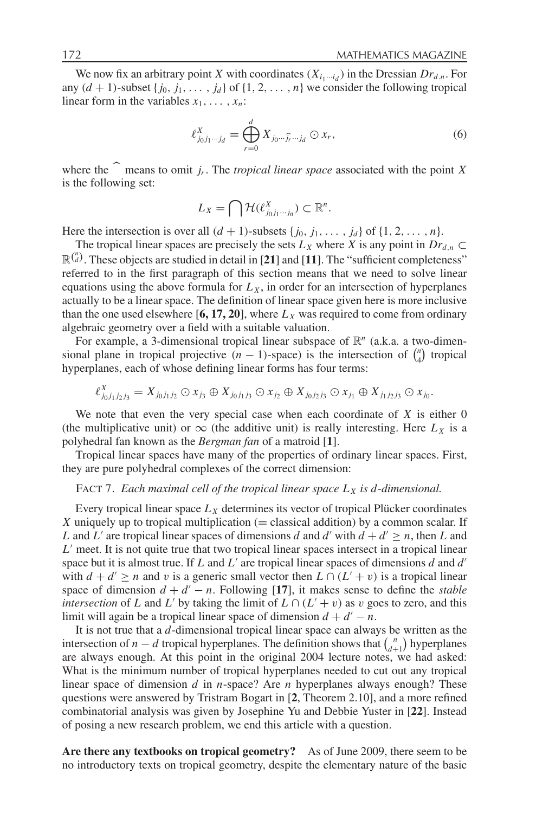We now fix an arbitrary point X with coordinates  $(X_{i_1\cdots i_d})$  in the Dressian  $Dr_{d,n}$ . For any  $(d + 1)$ -subset  $\{j_0, j_1, \ldots, j_d\}$  of  $\{1, 2, \ldots, n\}$  we consider the following tropical linear form in the variables  $x_1, \ldots, x_n$ :

$$
\ell_{j_0 j_1 \cdots j_d}^X = \bigoplus_{r=0}^d X_{j_0 \cdots \widehat{j}_r \cdots j_d} \odot x_r,\tag{6}
$$

where the  $\widehat{\phantom{a}}$  means to omit j<sub>r</sub>. The *tropical linear space* associated with the point X is the following set:

$$
L_X = \bigcap \mathcal{H}(\ell_{j_0j_1\cdots j_n}^X) \subset \mathbb{R}^n.
$$

Here the intersection is over all  $(d + 1)$ -subsets  $\{j_0, j_1, \ldots, j_d\}$  of  $\{1, 2, \ldots, n\}$ .

The tropical linear spaces are precisely the sets  $L_X$  where X is any point in  $Dr_{d,n} \subset$  $\mathbb{R}^{n \choose d}$ . These objects are studied in detail in [21] and [11]. The "sufficient completeness" referred to in the first paragraph of this section means that we need to solve linear equations using the above formula for  $L<sub>x</sub>$ , in order for an intersection of hyperplanes actually to be a linear space. The definition of linear space given here is more inclusive than the one used elsewhere [6, 17, 20], where  $L_X$  was required to come from ordinary algebraic geometry over a field with a suitable valuation.

For example, a 3-dimensional tropical linear subspace of  $\mathbb{R}^n$  (a.k.a. a two-dimensional plane in tropical projective  $(n - 1)$ -space) is the intersection of  $\binom{n}{4}$  tropical hyperplanes, each of whose defining linear forms has four terms:

$$
\ell_{j_0j_1j_2j_3}^X = X_{j_0j_1j_2} \odot x_{j_3} \oplus X_{j_0j_1j_3} \odot x_{j_2} \oplus X_{j_0j_2j_3} \odot x_{j_1} \oplus X_{j_1j_2j_3} \odot x_{j_0}.
$$

We note that even the very special case when each coordinate of  $X$  is either  $0$ (the multiplicative unit) or  $\infty$  (the additive unit) is really interesting. Here  $L_x$  is a polyhedral fan known as the Bergman fan of a matroid [1].

Tropical linear spaces have many of the properties of ordinary linear spaces. First, they are pure polyhedral complexes of the correct dimension:

## FACT 7. Each maximal cell of the tropical linear space  $L_X$  is d-dimensional.

Every tropical linear space  $L<sub>X</sub>$  determines its vector of tropical Plücker coordinates X uniquely up to tropical multiplication ( $=$  classical addition) by a common scalar. If L and L' are tropical linear spaces of dimensions d and d' with  $d + d' \ge n$ , then L and  $L'$  meet. It is not quite true that two tropical linear spaces intersect in a tropical linear space but it is almost true. If  $L$  and  $L'$  are tropical linear spaces of dimensions  $d$  and  $d'$ with  $d + d' \ge n$  and v is a generic small vector then  $L \cap (L' + v)$  is a tropical linear space of dimension  $d + d' - n$ . Following [17], it makes sense to define the *stable* intersection of L and L' by taking the limit of  $L \cap (L' + v)$  as v goes to zero, and this limit will again be a tropical linear space of dimension  $d + d' - n$ .

It is not true that a  $d$ -dimensional tropical linear space can always be written as the intersection of  $n-d$  tropical hyperplanes. The definition shows that  $\binom{n}{d+1}$  hyperplanes are always enough. At this point in the original 2004 lecture notes, we had asked: What is the minimum number of tropical hyperplanes needed to cut out any tropical linear space of dimension  $d$  in  $n$ -space? Are  $n$  hyperplanes always enough? These questions were answered by Tristram Bogart in [2, Theorem 2.10], and a more refined combinatorial analysis was given by Josephine Yu and Debbie Yuster in [22]. Instead of posing a new research problem, we end this article with a question.

Are there any textbooks on tropical geometry? As of June 2009, there seem to be no introductory texts on tropical geometry, despite the elementary nature of the basic